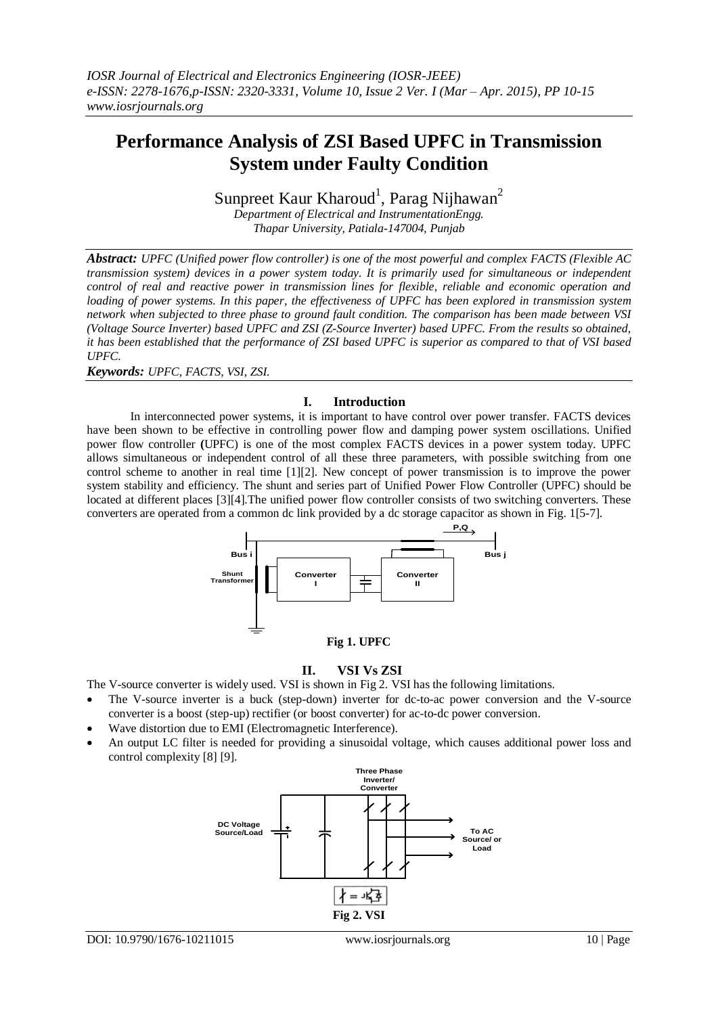# **Performance Analysis of ZSI Based UPFC in Transmission System under Faulty Condition**

Sunpreet Kaur Kharoud<sup>1</sup>, Parag Nijhawan<sup>2</sup>

*Department of Electrical and InstrumentationEngg. Thapar University, Patiala-147004, Punjab*

*Abstract: UPFC (Unified power flow controller) is one of the most powerful and complex FACTS (Flexible AC transmission system) devices in a power system today. It is primarily used for simultaneous or independent control of real and reactive power in transmission lines for flexible, reliable and economic operation and loading of power systems. In this paper, the effectiveness of UPFC has been explored in transmission system network when subjected to three phase to ground fault condition. The comparison has been made between VSI (Voltage Source Inverter) based UPFC and ZSI (Z-Source Inverter) based UPFC. From the results so obtained, it has been established that the performance of ZSI based UPFC is superior as compared to that of VSI based UPFC.*

*Keywords: UPFC, FACTS, VSI, ZSI.*

## **I. Introduction**

In interconnected power systems, it is important to have control over power transfer. FACTS devices have been shown to be effective in controlling power flow and damping power system oscillations. Unified power flow controller **(**UPFC) is one of the most complex FACTS devices in a power system today. UPFC allows simultaneous or independent control of all these three parameters, with possible switching from one control scheme to another in real time [1][2]. New concept of power transmission is to improve the power system stability and efficiency. The shunt and series part of Unified Power Flow Controller (UPFC) should be located at different places [3][4].The unified power flow controller consists of two switching converters. These converters are operated from a common dc link provided by a dc storage capacitor as shown in Fig. 1[5-7].



## **Fig 1. UPFC**

## **II. VSI Vs ZSI**

The V-source converter is widely used. VSI is shown in Fig 2. VSI has the following limitations.

- The V-source inverter is a buck (step-down) inverter for dc-to-ac power conversion and the V-source converter is a boost (step-up) rectifier (or boost converter) for ac-to-dc power conversion.
- Wave distortion due to EMI (Electromagnetic Interference).
- An output LC filter is needed for providing a sinusoidal voltage, which causes additional power loss and control complexity [8] [9].

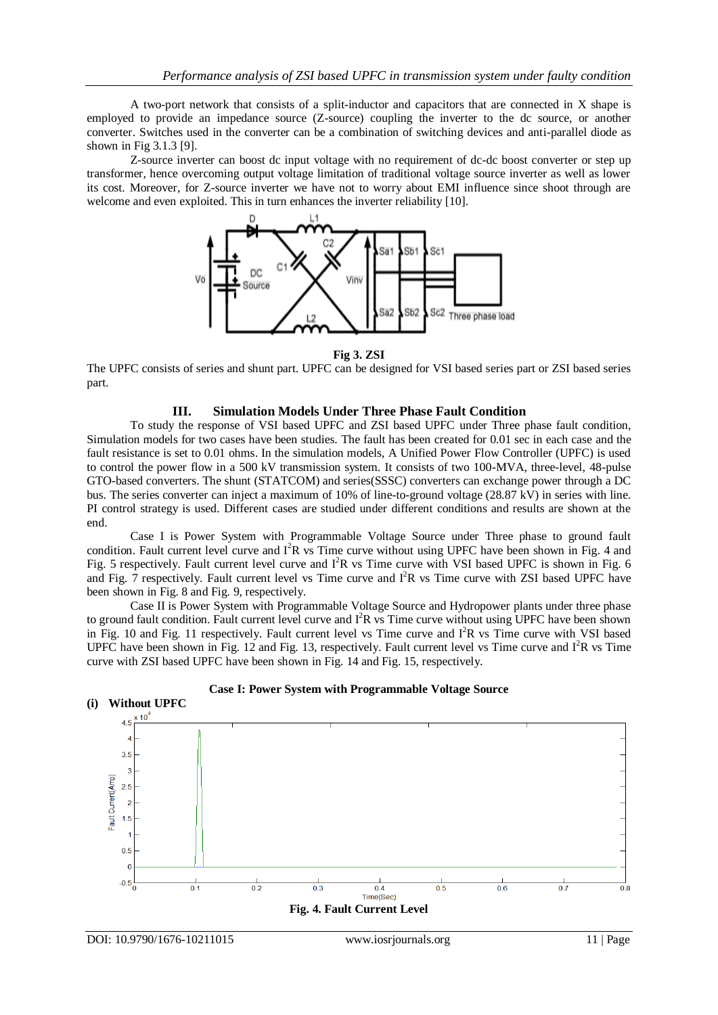A two-port network that consists of a split-inductor and capacitors that are connected in X shape is employed to provide an impedance source (Z-source) coupling the inverter to the dc source, or another converter. Switches used in the converter can be a combination of switching devices and anti-parallel diode as shown in Fig 3.1.3 [9].

Z-source inverter can boost dc input voltage with no requirement of dc-dc boost converter or step up transformer, hence overcoming output voltage limitation of traditional voltage source inverter as well as lower its cost. Moreover, for Z-source inverter we have not to worry about EMI influence since shoot through are welcome and even exploited. This in turn enhances the inverter reliability [10].



**Fig 3. ZSI**

The UPFC consists of series and shunt part. UPFC can be designed for VSI based series part or ZSI based series part.

### **III. Simulation Models Under Three Phase Fault Condition**

To study the response of VSI based UPFC and ZSI based UPFC under Three phase fault condition, Simulation models for two cases have been studies. The fault has been created for 0.01 sec in each case and the fault resistance is set to 0.01 ohms. In the simulation models, A Unified Power Flow Controller (UPFC) is used to control the power flow in a 500 kV transmission system. It consists of two 100-MVA, three-level, 48-pulse GTO-based converters. The shunt (STATCOM) and series(SSSC) converters can exchange power through a DC bus. The series converter can inject a maximum of 10% of line-to-ground voltage (28.87 kV) in series with line. PI control strategy is used. Different cases are studied under different conditions and results are shown at the end.

Case I is Power System with Programmable Voltage Source under Three phase to ground fault condition. Fault current level curve and  $I^2R$  vs Time curve without using UPFC have been shown in Fig. 4 and Fig. 5 respectively. Fault current level curve and  $I<sup>2</sup>R$  vs Time curve with VSI based UPFC is shown in Fig. 6 and Fig. 7 respectively. Fault current level vs Time curve and I<sup>2</sup>R vs Time curve with ZSI based UPFC have been shown in Fig. 8 and Fig. 9, respectively.

Case II is Power System with Programmable Voltage Source and Hydropower plants under three phase to ground fault condition. Fault current level curve and  $I^2R$  vs Time curve without using UPFC have been shown in Fig. 10 and Fig. 11 respectively. Fault current level vs Time curve and I<sup>2</sup>R vs Time curve with VSI based UPFC have been shown in Fig. 12 and Fig. 13, respectively. Fault current level vs Time curve and  $I^2R$  vs Time curve with ZSI based UPFC have been shown in Fig. 14 and Fig. 15, respectively.



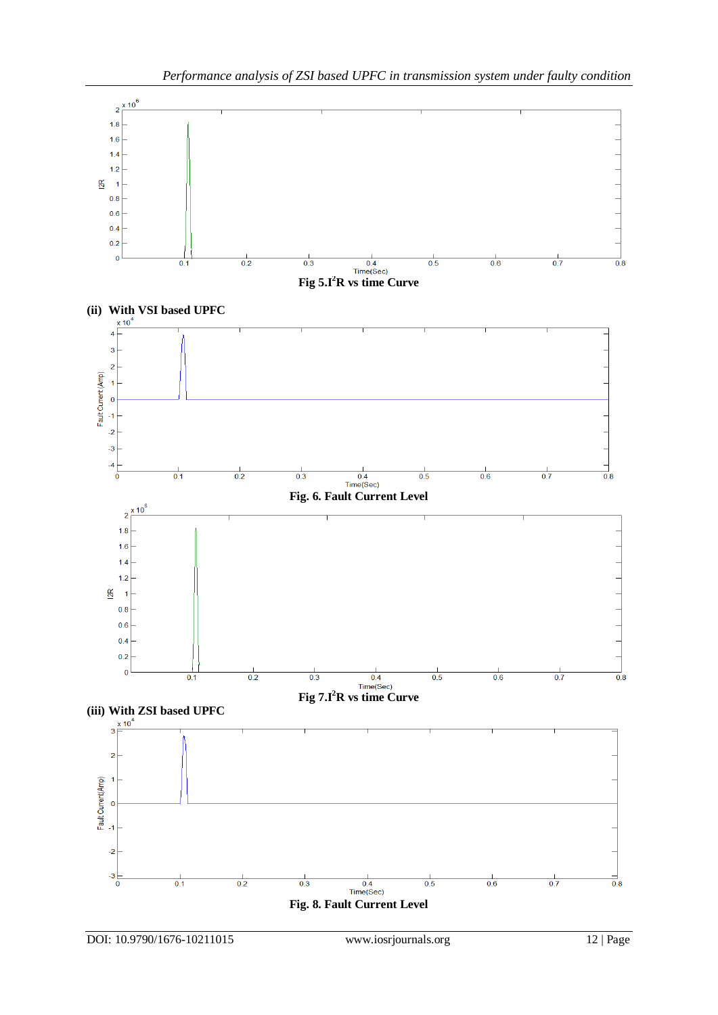

DOI: 10.9790/1676-10211015 www.iosrjournals.org 12 | Page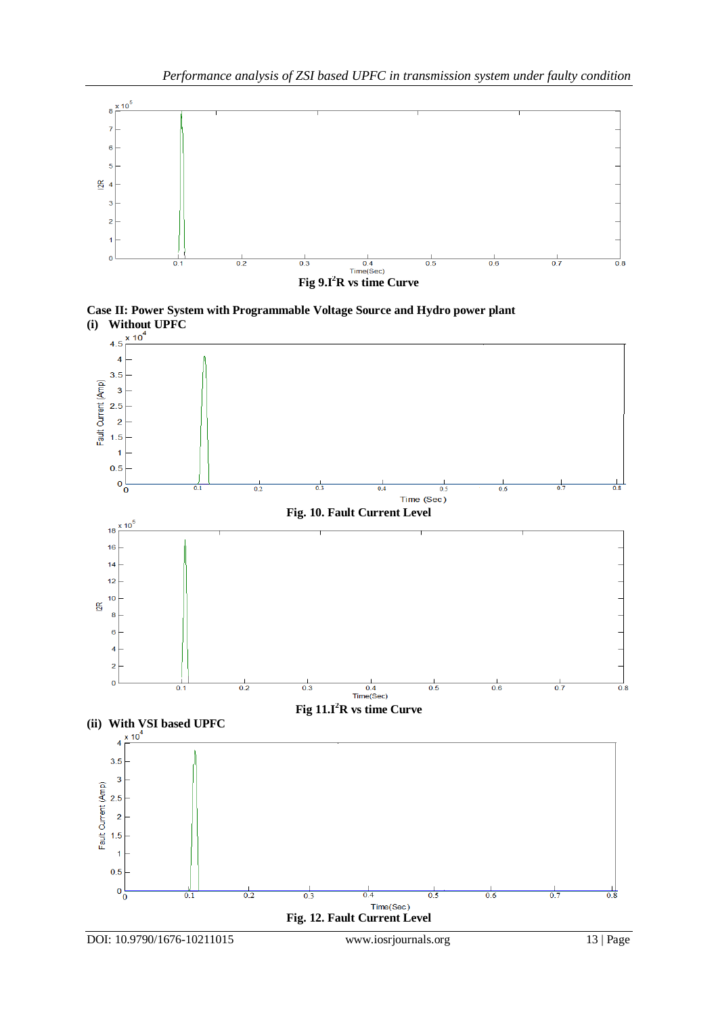

**Case II: Power System with Programmable Voltage Source and Hydro power plant (i) Without UPFC**

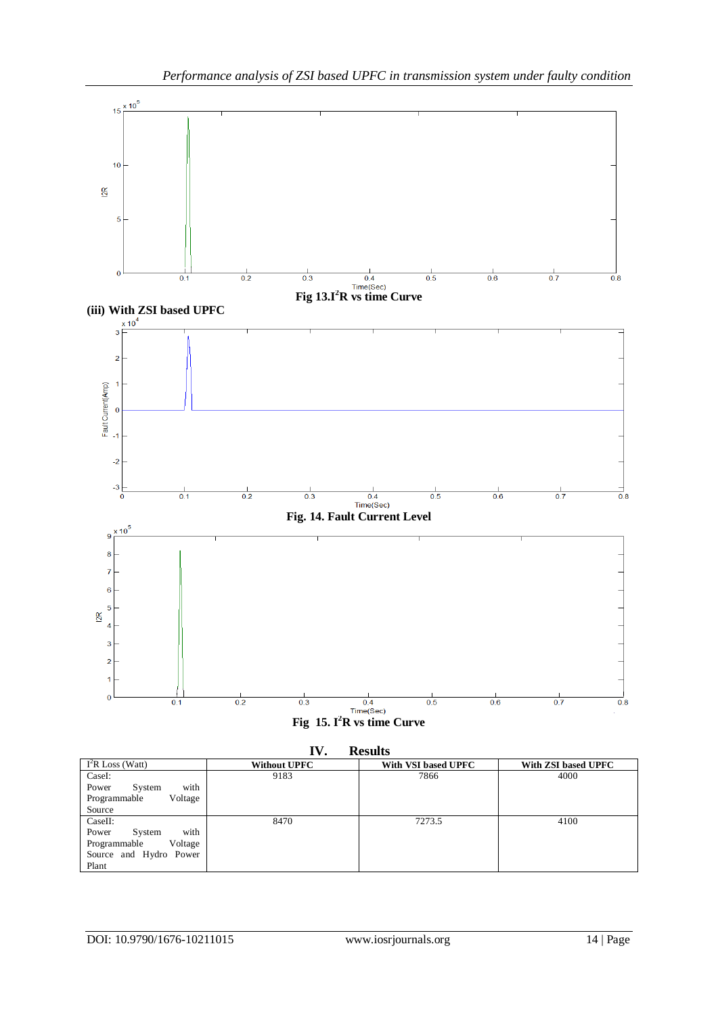

| IV.<br><b>Results</b>   |                     |                     |                     |
|-------------------------|---------------------|---------------------|---------------------|
| $I^2R$ Loss (Watt)      | <b>Without UPFC</b> | With VSI based UPFC | With ZSI based UPFC |
| CaseI:                  | 9183                | 7866                | 4000                |
| with<br>Power<br>System |                     |                     |                     |
| Voltage<br>Programmable |                     |                     |                     |
| Source                  |                     |                     |                     |
| CaseII:                 | 8470                | 7273.5              | 4100                |
| with<br>Power<br>System |                     |                     |                     |
| Voltage<br>Programmable |                     |                     |                     |
| Source and Hydro Power  |                     |                     |                     |
| Plant                   |                     |                     |                     |